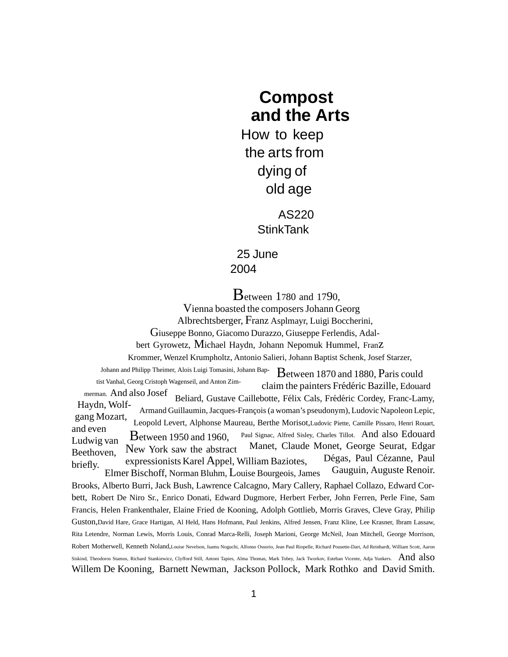## **Compost and the Arts**

How to keep the arts from dying of old age

> AS220 **StinkTank**

25 June 2004

Between <sup>1</sup>7<sup>80</sup> and <sup>17</sup>90,

Vienna boasted the composers Johann Georg Albrechtsberger, Franz Asplmayr, Luigi Boccherini, Giuseppe Bonno, Giacomo Durazzo, Giuseppe Ferlendis, Adalbert Gyrowetz, Michael Haydn, Johann Nepomuk Hummel, Franz Krommer, Wenzel Krumpholtz, Antonio Salieri, Johann Baptist Schenk, Josef Starzer, Johann and Philipp Theimer, Alois Luigi Tomasini, Johann Baptist Vanhal, Georg Cristoph Wagenseil, and Anton Zimmerman. And also Josef Haydn, Wolfgang Mozart, and even Ludwig van Beethoven, briefly. Between <sup>1870</sup> and 1880, Paris could claim the painters Frédéric Bazille, Edouard Beliard, Gustave Caillebotte, Félix Cals, Frédéric Cordey, Franc-Lamy, Armand Guillaumin, Jacques-François (a woman's pseudonym), Ludovic Napoleon Lepic, Leopold Levert, Alphonse Maureau, Berthe Morisot,Ludovic Piette, Camille Pissaro, Henri Rouart, Paul Signac, Alfred Sisley, Charles Tillot. And also Edouard Manet, Claude Monet, George Seurat, Edgar Dégas, Paul Cézanne, Paul Gauguin, Auguste Renoir. Between <sup>1950</sup> and 1960, New York saw the abstract expressionists Karel Appel, William Baziotes, Elmer Bischoff, Norman Bluhm, Louise Bourgeois, James Brooks, Alberto Burri, Jack Bush, Lawrence Calcagno, Mary Callery, Raphael Collazo, Edward Corbett, Robert De Niro Sr., Enrico Donati, Edward Dugmore, Herbert Ferber, John Ferren, Perle Fine, Sam Francis, Helen Frankenthaler, Elaine Fried de Kooning, Adolph Gottlieb, Morris Graves, Cleve Gray, Philip Guston,David Hare, Grace Hartigan, Al Held, Hans Hofmann, Paul Jenkins, Alfred Jensen, Franz Kline, Lee Krasner, Ibram Lassaw, Rita Letendre, Norman Lewis, Morris Louis, Conrad Marca-Relli, Joseph Marioni, George McNeil, Joan Mitchell, George Morrison, Robert Motherwell, Kenneth Noland,Louise Nevelson, Isamu Noguchi, Alfonso Ossorio, Jean Paul Riopelle, Richard Pousette-Dart, Ad Reinhardt, William Scott, Aaron Siskind, Theodoros Stamos, Richard Stankiewicz, Clyfford Still, Antoni Tapies, Alma Thomas, Mark Tobey, Jack Tworkov, Esteban Vicente, Adja Yunkers. And also Willem De Kooning, Barnett Newman, Jackson Pollock, Mark Rothko and David Smith.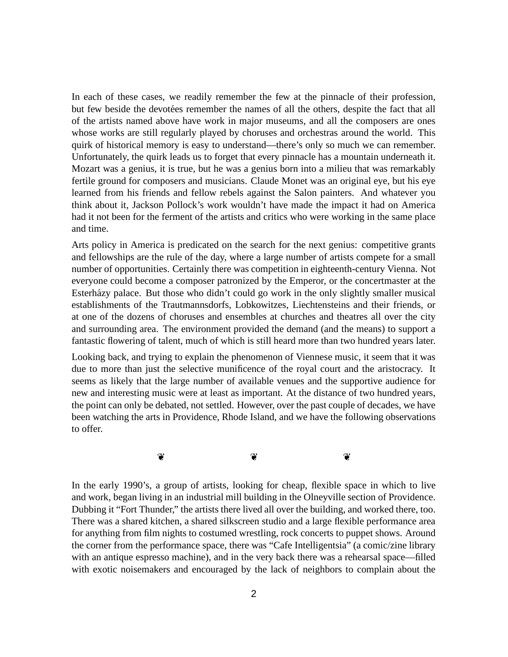In each of these cases, we readily remember the few at the pinnacle of their profession, but few beside the devotées remember the names of all the others, despite the fact that all of the artists named above have work in major museums, and all the composers are ones whose works are still regularly played by choruses and orchestras around the world. This quirk of historical memory is easy to understand—there's only so much we can remember. Unfortunately, the quirk leads us to forget that every pinnacle has a mountain underneath it. Mozart was a genius, it is true, but he was a genius born into a milieu that was remarkably fertile ground for composers and musicians. Claude Monet was an original eye, but his eye learned from his friends and fellow rebels against the Salon painters. And whatever you think about it, Jackson Pollock's work wouldn't have made the impact it had on America had it not been for the ferment of the artists and critics who were working in the same place and time.

Arts policy in America is predicated on the search for the next genius: competitive grants and fellowships are the rule of the day, where a large number of artists compete for a small number of opportunities. Certainly there was competition in eighteenth-century Vienna. Not everyone could become a composer patronized by the Emperor, or the concertmaster at the Esterházy palace. But those who didn't could go work in the only slightly smaller musical establishments of the Trautmannsdorfs, Lobkowitzes, Liechtensteins and their friends, or at one of the dozens of choruses and ensembles at churches and theatres all over the city and surrounding area. The environment provided the demand (and the means) to support a fantastic flowering of talent, much of which is still heard more than two hundred years later.

Looking back, and trying to explain the phenomenon of Viennese music, it seem that it was due to more than just the selective munificence of the royal court and the aristocracy. It seems as likely that the large number of available venues and the supportive audience for new and interesting music were at least as important. At the distance of two hundred years, the point can only be debated, not settled. However, over the past couple of decades, we have been watching the arts in Providence, Rhode Island, and we have the following observations to offer.

 $\circ$   $\circ$   $\circ$ 

In the early 1990's, a group of artists, looking for cheap, flexible space in which to live and work, began living in an industrial mill building in the Olneyville section of Providence. Dubbing it "Fort Thunder," the artists there lived all over the building, and worked there, too. There was a shared kitchen, a shared silkscreen studio and a large flexible performance area for anything from film nights to costumed wrestling, rock concerts to puppet shows. Around the corner from the performance space, there was "Cafe Intelligentsia" (a comic/zine library with an antique espresso machine), and in the very back there was a rehearsal space—filled with exotic noisemakers and encouraged by the lack of neighbors to complain about the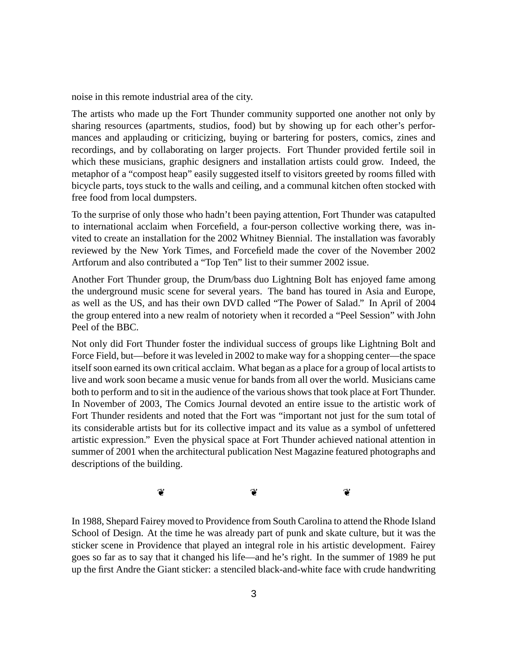noise in this remote industrial area of the city.

The artists who made up the Fort Thunder community supported one another not only by sharing resources (apartments, studios, food) but by showing up for each other's performances and applauding or criticizing, buying or bartering for posters, comics, zines and recordings, and by collaborating on larger projects. Fort Thunder provided fertile soil in which these musicians, graphic designers and installation artists could grow. Indeed, the metaphor of a "compost heap" easily suggested itself to visitors greeted by rooms filled with bicycle parts, toys stuck to the walls and ceiling, and a communal kitchen often stocked with free food from local dumpsters.

To the surprise of only those who hadn't been paying attention, Fort Thunder was catapulted to international acclaim when Forcefield, a four-person collective working there, was invited to create an installation for the 2002 Whitney Biennial. The installation was favorably reviewed by the New York Times, and Forcefield made the cover of the November 2002 Artforum and also contributed a "Top Ten" list to their summer 2002 issue.

Another Fort Thunder group, the Drum/bass duo Lightning Bolt has enjoyed fame among the underground music scene for several years. The band has toured in Asia and Europe, as well as the US, and has their own DVD called "The Power of Salad." In April of 2004 the group entered into a new realm of notoriety when it recorded a "Peel Session" with John Peel of the BBC.

Not only did Fort Thunder foster the individual success of groups like Lightning Bolt and Force Field, but—before it was leveled in 2002 to make way for a shopping center—the space itself soon earned its own critical acclaim. What began as a place for a group of local artists to live and work soon became a music venue for bands from all over the world. Musicians came both to perform and to sit in the audience of the various shows that took place at Fort Thunder. In November of 2003, The Comics Journal devoted an entire issue to the artistic work of Fort Thunder residents and noted that the Fort was "important not just for the sum total of its considerable artists but for its collective impact and its value as a symbol of unfettered artistic expression." Even the physical space at Fort Thunder achieved national attention in summer of 2001 when the architectural publication Nest Magazine featured photographs and descriptions of the building.

 $\circ$   $\circ$   $\circ$ 

In 1988, Shepard Fairey moved to Providence from South Carolina to attend the Rhode Island School of Design. At the time he was already part of punk and skate culture, but it was the sticker scene in Providence that played an integral role in his artistic development. Fairey goes so far as to say that it changed his life—and he's right. In the summer of 1989 he put up the first Andre the Giant sticker: a stenciled black-and-white face with crude handwriting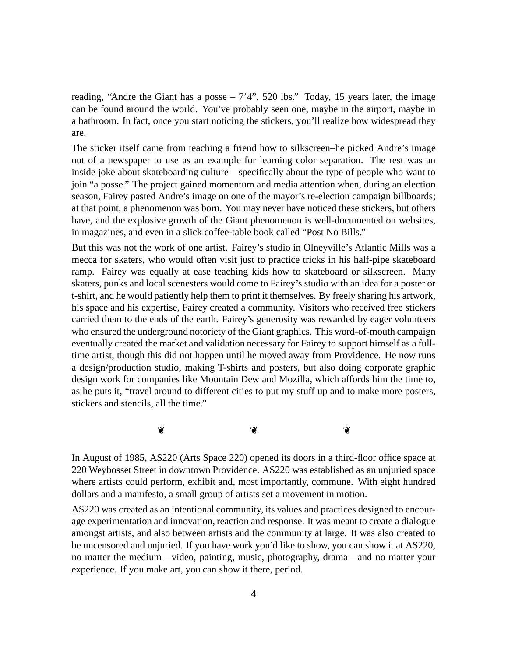reading, "Andre the Giant has a posse  $-7'4$ ", 520 lbs." Today, 15 years later, the image can be found around the world. You've probably seen one, maybe in the airport, maybe in a bathroom. In fact, once you start noticing the stickers, you'll realize how widespread they are.

The sticker itself came from teaching a friend how to silkscreen–he picked Andre's image out of a newspaper to use as an example for learning color separation. The rest was an inside joke about skateboarding culture—specifically about the type of people who want to join "a posse." The project gained momentum and media attention when, during an election season, Fairey pasted Andre's image on one of the mayor's re-election campaign billboards; at that point, a phenomenon was born. You may never have noticed these stickers, but others have, and the explosive growth of the Giant phenomenon is well-documented on websites, in magazines, and even in a slick coffee-table book called "Post No Bills."

But this was not the work of one artist. Fairey's studio in Olneyville's Atlantic Mills was a mecca for skaters, who would often visit just to practice tricks in his half-pipe skateboard ramp. Fairey was equally at ease teaching kids how to skateboard or silkscreen. Many skaters, punks and local scenesters would come to Fairey's studio with an idea for a poster or t-shirt, and he would patiently help them to print it themselves. By freely sharing his artwork, his space and his expertise, Fairey created a community. Visitors who received free stickers carried them to the ends of the earth. Fairey's generosity was rewarded by eager volunteers who ensured the underground notoriety of the Giant graphics. This word-of-mouth campaign eventually created the market and validation necessary for Fairey to support himself as a fulltime artist, though this did not happen until he moved away from Providence. He now runs a design/production studio, making T-shirts and posters, but also doing corporate graphic design work for companies like Mountain Dew and Mozilla, which affords him the time to, as he puts it, "travel around to different cities to put my stuff up and to make more posters, stickers and stencils, all the time."

 $\circ$   $\circ$   $\circ$ 

In August of 1985, AS220 (Arts Space 220) opened its doors in a third-floor office space at 220 Weybosset Street in downtown Providence. AS220 was established as an unjuried space where artists could perform, exhibit and, most importantly, commune. With eight hundred dollars and a manifesto, a small group of artists set a movement in motion.

AS220 was created as an intentional community, its values and practices designed to encourage experimentation and innovation, reaction and response. It was meant to create a dialogue amongst artists, and also between artists and the community at large. It was also created to be uncensored and unjuried. If you have work you'd like to show, you can show it at AS220, no matter the medium—video, painting, music, photography, drama—and no matter your experience. If you make art, you can show it there, period.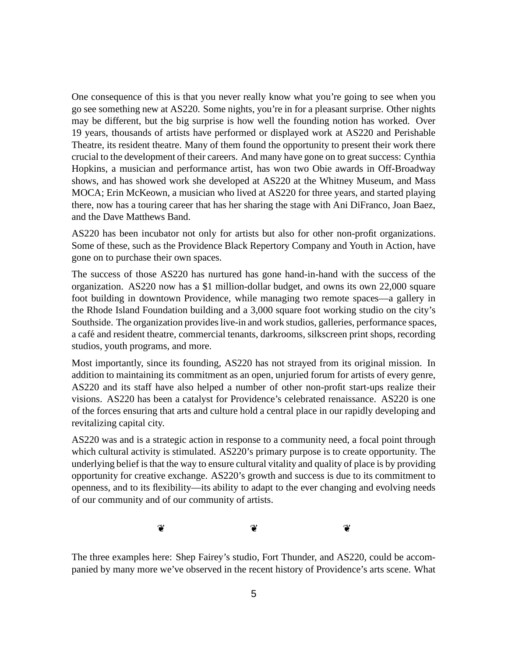One consequence of this is that you never really know what you're going to see when you go see something new at AS220. Some nights, you're in for a pleasant surprise. Other nights may be different, but the big surprise is how well the founding notion has worked. Over 19 years, thousands of artists have performed or displayed work at AS220 and Perishable Theatre, its resident theatre. Many of them found the opportunity to present their work there crucial to the development of their careers. And many have gone on to great success: Cynthia Hopkins, a musician and performance artist, has won two Obie awards in Off-Broadway shows, and has showed work she developed at AS220 at the Whitney Museum, and Mass MOCA; Erin McKeown, a musician who lived at AS220 for three years, and started playing there, now has a touring career that has her sharing the stage with Ani DiFranco, Joan Baez, and the Dave Matthews Band.

AS220 has been incubator not only for artists but also for other non-profit organizations. Some of these, such as the Providence Black Repertory Company and Youth in Action, have gone on to purchase their own spaces.

The success of those AS220 has nurtured has gone hand-in-hand with the success of the organization. AS220 now has a \$1 million-dollar budget, and owns its own 22,000 square foot building in downtown Providence, while managing two remote spaces—a gallery in the Rhode Island Foundation building and a 3,000 square foot working studio on the city's Southside. The organization provides live-in and work studios, galleries, performance spaces, a café and resident theatre, commercial tenants, darkrooms, silkscreen print shops, recording studios, youth programs, and more.

Most importantly, since its founding, AS220 has not strayed from its original mission. In addition to maintaining its commitment as an open, unjuried forum for artists of every genre, AS220 and its staff have also helped a number of other non-profit start-ups realize their visions. AS220 has been a catalyst for Providence's celebrated renaissance. AS220 is one of the forces ensuring that arts and culture hold a central place in our rapidly developing and revitalizing capital city.

AS220 was and is a strategic action in response to a community need, a focal point through which cultural activity is stimulated. AS220's primary purpose is to create opportunity. The underlying belief isthat the way to ensure cultural vitality and quality of place is by providing opportunity for creative exchange. AS220's growth and success is due to its commitment to openness, and to its flexibility—its ability to adapt to the ever changing and evolving needs of our community and of our community of artists.

 $\circ$   $\circ$   $\circ$ 

The three examples here: Shep Fairey's studio, Fort Thunder, and AS220, could be accompanied by many more we've observed in the recent history of Providence's arts scene. What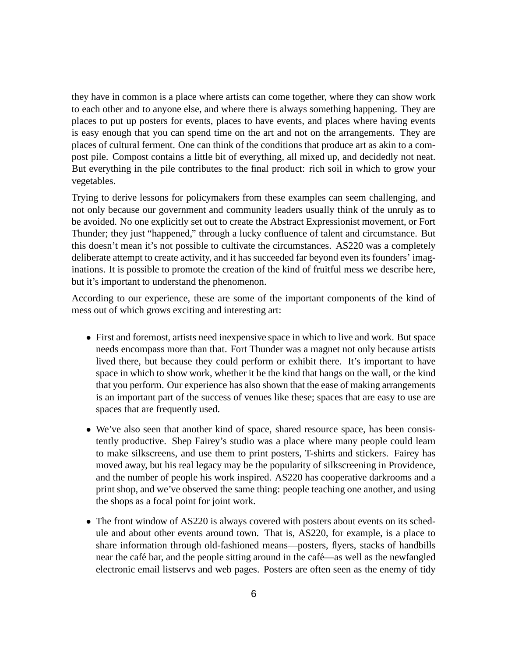they have in common is a place where artists can come together, where they can show work to each other and to anyone else, and where there is always something happening. They are places to put up posters for events, places to have events, and places where having events is easy enough that you can spend time on the art and not on the arrangements. They are places of cultural ferment. One can think of the conditions that produce art as akin to a compost pile. Compost contains a little bit of everything, all mixed up, and decidedly not neat. But everything in the pile contributes to the final product: rich soil in which to grow your vegetables.

Trying to derive lessons for policymakers from these examples can seem challenging, and not only because our government and community leaders usually think of the unruly as to be avoided. No one explicitly set out to create the Abstract Expressionist movement, or Fort Thunder; they just "happened," through a lucky confluence of talent and circumstance. But this doesn't mean it's not possible to cultivate the circumstances. AS220 was a completely deliberate attempt to create activity, and it has succeeded far beyond even its founders' imaginations. It is possible to promote the creation of the kind of fruitful mess we describe here, but it's important to understand the phenomenon.

According to our experience, these are some of the important components of the kind of mess out of which grows exciting and interesting art:

- First and foremost, artists need inexpensive space in which to live and work. But space needs encompass more than that. Fort Thunder was a magnet not only because artists lived there, but because they could perform or exhibit there. It's important to have space in which to show work, whether it be the kind that hangs on the wall, or the kind that you perform. Our experience has also shown that the ease of making arrangements is an important part of the success of venues like these; spaces that are easy to use are spaces that are frequently used.
- We've also seen that another kind of space, shared resource space, has been consistently productive. Shep Fairey's studio was a place where many people could learn to make silkscreens, and use them to print posters, T-shirts and stickers. Fairey has moved away, but his real legacy may be the popularity of silkscreening in Providence, and the number of people his work inspired. AS220 has cooperative darkrooms and a print shop, and we've observed the same thing: people teaching one another, and using the shops as a focal point for joint work.
- The front window of AS220 is always covered with posters about events on its schedule and about other events around town. That is, AS220, for example, is a place to share information through old-fashioned means—posters, flyers, stacks of handbills near the café bar, and the people sitting around in the café—as well as the newfangled electronic email listservs and web pages. Posters are often seen as the enemy of tidy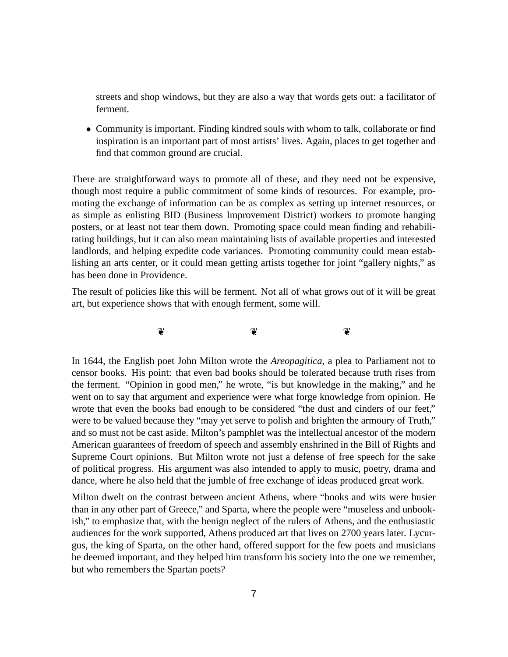streets and shop windows, but they are also a way that words gets out: a facilitator of ferment.

• Community is important. Finding kindred souls with whom to talk, collaborate or find inspiration is an important part of most artists' lives. Again, places to get together and find that common ground are crucial.

There are straightforward ways to promote all of these, and they need not be expensive, though most require a public commitment of some kinds of resources. For example, promoting the exchange of information can be as complex as setting up internet resources, or as simple as enlisting BID (Business Improvement District) workers to promote hanging posters, or at least not tear them down. Promoting space could mean finding and rehabilitating buildings, but it can also mean maintaining lists of available properties and interested landlords, and helping expedite code variances. Promoting community could mean establishing an arts center, or it could mean getting artists together for joint "gallery nights," as has been done in Providence.

The result of policies like this will be ferment. Not all of what grows out of it will be great art, but experience shows that with enough ferment, some will.

 $\circ$   $\circ$   $\circ$ 

In 1644, the English poet John Milton wrote the *Areopagitica*, a plea to Parliament not to censor books. His point: that even bad books should be tolerated because truth rises from the ferment. "Opinion in good men," he wrote, "is but knowledge in the making," and he went on to say that argument and experience were what forge knowledge from opinion. He wrote that even the books bad enough to be considered "the dust and cinders of our feet," were to be valued because they "may yet serve to polish and brighten the armoury of Truth," and so must not be cast aside. Milton's pamphlet was the intellectual ancestor of the modern American guarantees of freedom of speech and assembly enshrined in the Bill of Rights and Supreme Court opinions. But Milton wrote not just a defense of free speech for the sake of political progress. His argument was also intended to apply to music, poetry, drama and dance, where he also held that the jumble of free exchange of ideas produced great work.

Milton dwelt on the contrast between ancient Athens, where "books and wits were busier than in any other part of Greece," and Sparta, where the people were "museless and unbookish," to emphasize that, with the benign neglect of the rulers of Athens, and the enthusiastic audiences for the work supported, Athens produced art that lives on 2700 years later. Lycurgus, the king of Sparta, on the other hand, offered support for the few poets and musicians he deemed important, and they helped him transform his society into the one we remember, but who remembers the Spartan poets?